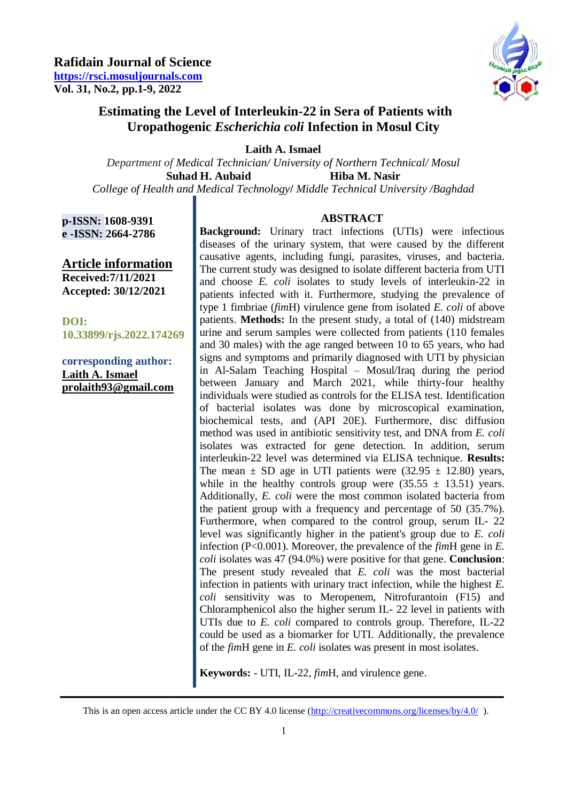

## **Estimating the Level of Interleukin-22 in Sera of Patients with Uropathogenic** *Escherichia coli* **Infection in Mosul City**

**Laith A. Ismael**

*Department of Medical Technician/ University of Northern Technical/ Mosul*  **Suhad H. Aubaid Hiba M. Nasir**

*College of Health and Medical Technology***/** *Middle Technical University /Baghdad*

**p-ISSN: 1608-9391 e -ISSN: 2664-2786**

**Article information Received:7/11/2021 Accepted: 30/12/2021**

**DOI: 10.33899/rjs.2022.174269**

**corresponding author: Laith A. Ismael [prolaith93@gmail.com](mailto:prolaith93@gmail.com)**

## **ABSTRACT**

**Background:** Urinary tract infections (UTIs) were infectious diseases of the urinary system, that were caused by the different causative agents, including fungi, parasites, viruses, and bacteria. The current study was designed to isolate different bacteria from UTI and choose *E. coli* isolates to study levels of interleukin-22 in patients infected with it. Furthermore, studying the prevalence of type 1 fimbriae (*fim*H) virulence gene from isolated *E. coli* of above patients. **Methods:** In the present study, a total of (140) midstream urine and serum samples were collected from patients (110 females and 30 males) with the age ranged between 10 to 65 years, who had signs and symptoms and primarily diagnosed with UTI by physician in Al-Salam Teaching Hospital – Mosul/Iraq during the period between January and March 2021, while thirty-four healthy individuals were studied as controls for the ELISA test. Identification of bacterial isolates was done by microscopical examination, biochemical tests, and (API 20E). Furthermore, disc diffusion method was used in antibiotic sensitivity test, and DNA from *E. coli* isolates was extracted for gene detection. In addition, serum interleukin-22 level was determined via ELISA technique. **Results:** The mean  $\pm$  SD age in UTI patients were (32.95  $\pm$  12.80) years, while in the healthy controls group were  $(35.55 \pm 13.51)$  years. Additionally, *E. coli* were the most common isolated bacteria from the patient group with a frequency and percentage of 50 (35.7%). Furthermore, when compared to the control group, serum IL- 22 level was significantly higher in the patient's group due to *E. coli* infection (P<0.001). Moreover, the prevalence of the *fim*H gene in *E. coli* isolates was 47 (94.0%) were positive for that gene. **Conclusion**: The present study revealed that *E. coli* was the most bacterial infection in patients with urinary tract infection, while the highest *E. coli* sensitivity was to Meropenem, Nitrofurantoin (F15) and Chloramphenicol also the higher serum IL- 22 level in patients with UTIs due to *E. coli* compared to controls group. Therefore, IL-22 could be used as a biomarker for UTI. Additionally, the prevalence of the *fim*H gene in *E. coli* isolates was present in most isolates.

**Keywords:** - UTI, IL-22, *fim*H, and virulence gene.

**ــــــــــــــــــــــــــــــــــــــــــــــــــــــــــــــــــــــــــــــــــــــــــــــــــــــــــــــــــــــــــــــــــــــــــــــــــــــــــــــــــــــــ**  This is an open access article under the CC BY 4.0 license (http://creativecommons.org/licenses/by/4.0/).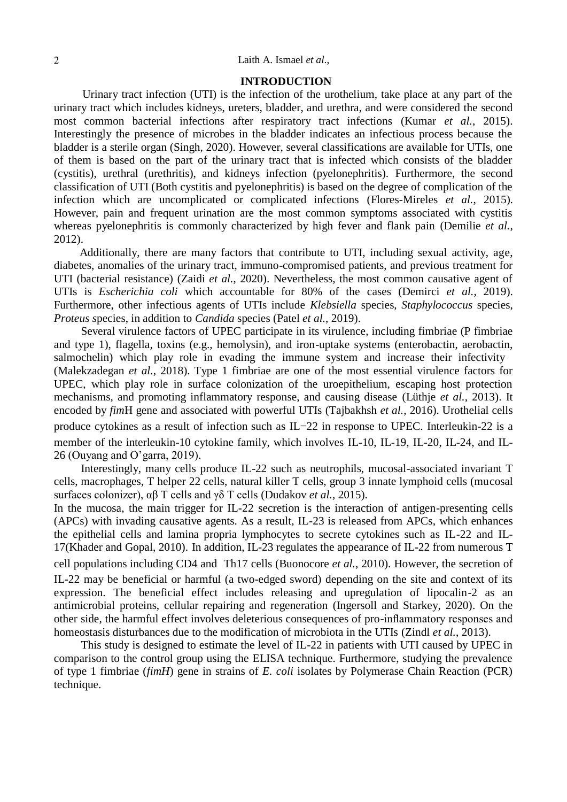## 2 Laith A. Ismael *et al*.,

#### **INTRODUCTION**

 Urinary tract infection (UTI) is the infection of the urothelium, take place at any part of the urinary tract which includes kidneys, ureters, bladder, and urethra, and were considered the second most common bacterial infections after respiratory tract infections (Kumar *et al.*, 2015). Interestingly the presence of microbes in the bladder indicates an infectious process because the bladder is a sterile organ (Singh, 2020). However, several classifications are available for UTIs, one of them is based on the part of the urinary tract that is infected which consists of the bladder (cystitis), urethral (urethritis), and kidneys infection (pyelonephritis). Furthermore, the second classification of UTI (Both cystitis and pyelonephritis) is based on the degree of complication of the infection which are uncomplicated or complicated infections (Flores-Mireles *et al.*, 2015). However, pain and frequent urination are the most common symptoms associated with cystitis whereas pyelonephritis is commonly characterized by high fever and flank pain (Demilie *et al.*, 2012).

 Additionally, there are many factors that contribute to UTI, including sexual activity, age, diabetes, anomalies of the urinary tract, immuno-compromised patients, and previous treatment for UTI (bacterial resistance) (Zaidi *et al.*, 2020). Nevertheless, the most common causative agent of UTIs is *Escherichia coli* which accountable for 80% of the cases (Demirci *et al.*, 2019). Furthermore, other infectious agents of UTIs include *Klebsiella* species, *Staphylococcus* species, *Proteus s*pecies, in addition to *Candida* species (Patel *et al.*, 2019).

Several virulence factors of UPEC participate in its virulence, including fimbriae (P fimbriae and type 1), flagella, toxins (e.g., hemolysin), and iron-uptake systems (enterobactin, aerobactin, salmochelin) which play role in evading the immune system and increase their infectivity (Malekzadegan *et al.*, 2018). Type 1 fimbriae are one of the most essential virulence factors for UPEC, which play role in surface colonization of the uroepithelium, escaping host protection mechanisms, and promoting inflammatory response, and causing disease (Lüthje *et al.*, 2013). It encoded by *fim*H gene and associated with powerful UTIs (Tajbakhsh *et al.*, 2016). Urothelial cells produce cytokines as a result of infection such as IL-22 in response to UPEC. Interleukin-22 is a member of the interleukin-10 cytokine family, which involves IL-10, IL-19, IL-20, IL-24, and IL-26 (Ouyang and O'garra, 2019).

Interestingly, many cells produce IL-22 such as neutrophils, mucosal-associated invariant T cells, macrophages, T helper 22 cells, natural killer T cells, group 3 innate lymphoid cells (mucosal surfaces colonizer), αβ T cells and γδ T cells (Dudakov *et al.*, 2015).

In the mucosa, the main trigger for IL-22 secretion is the interaction of antigen-presenting cells (APCs) with invading causative agents. As a result, IL-23 is released from APCs, which enhances the epithelial cells and lamina propria lymphocytes to secrete cytokines such as IL-22 and IL-17(Khader and Gopal, 2010). In addition, IL-23 regulates the appearance of IL-22 from numerous T cell populations including CD4 and Th17 cells (Buonocore *et al.*, 2010). However, the secretion of IL-22 may be beneficial or harmful (a two-edged sword) depending on the site and context of its expression. The beneficial effect includes releasing and upregulation of lipocalin-2 as an antimicrobial proteins, cellular repairing and regeneration (Ingersoll and Starkey, 2020). On the other side, the harmful effect involves deleterious consequences of pro-inflammatory responses and

This study is designed to estimate the level of IL-22 in patients with UTI caused by UPEC in comparison to the control group using the ELISA technique. Furthermore, studying the prevalence of type 1 fimbriae (*fimH*) gene in strains of *E. coli* isolates by Polymerase Chain Reaction (PCR) technique.

homeostasis disturbances due to the modification of microbiota in the UTIs (Zindl *et al.*, 2013).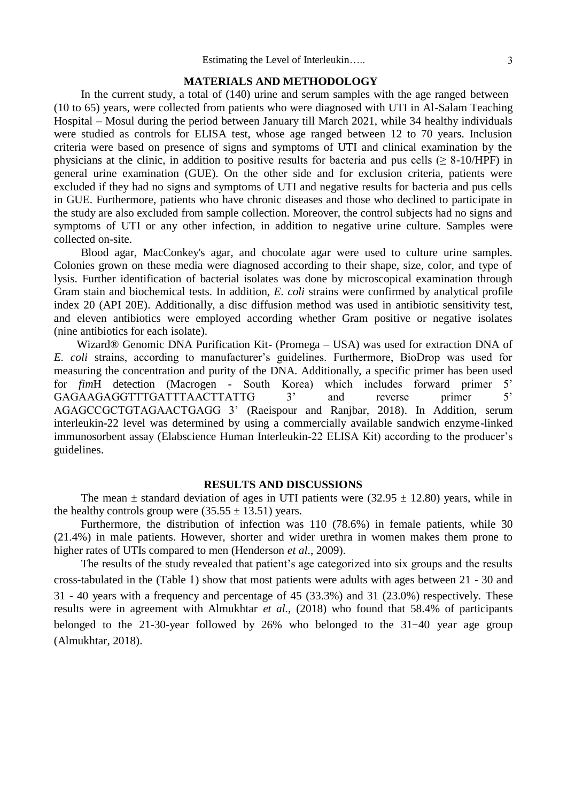## **MATERIALS AND METHODOLOGY**

In the current study, a total of (140) urine and serum samples with the age ranged between (10 to 65) years, were collected from patients who were diagnosed with UTI in Al-Salam Teaching Hospital – Mosul during the period between January till March 2021, while 34 healthy individuals were studied as controls for ELISA test, whose age ranged between 12 to 70 years. Inclusion criteria were based on presence of signs and symptoms of UTI and clinical examination by the physicians at the clinic, in addition to positive results for bacteria and pus cells ( $\geq 8-10/HPF$ ) in general urine examination (GUE). On the other side and for exclusion criteria, patients were excluded if they had no signs and symptoms of UTI and negative results for bacteria and pus cells in GUE. Furthermore, patients who have chronic diseases and those who declined to participate in the study are also excluded from sample collection. Moreover, the control subjects had no signs and symptoms of UTI or any other infection, in addition to negative urine culture. Samples were collected on-site.

Blood agar, MacConkey's agar, and chocolate agar were used to culture urine samples. Colonies grown on these media were diagnosed according to their shape, size, color, and type of lysis. Further identification of bacterial isolates was done by microscopical examination through Gram stain and biochemical tests. In addition, *E. coli* strains were confirmed by analytical profile index 20 (API 20E). Additionally, a disc diffusion method was used in antibiotic sensitivity test, and eleven antibiotics were employed according whether Gram positive or negative isolates (nine antibiotics for each isolate).

 Wizard® Genomic DNA Purification Kit- (Promega – USA) was used for extraction DNA of *E. coli* strains, according to manufacturer's guidelines. Furthermore, BioDrop was used for measuring the concentration and purity of the DNA. Additionally, a specific primer has been used for *fim*H detection (Macrogen - South Korea) which includes forward primer 5' GAGAAGAGGTTTGATTTAACTTATTG 3<sup>'</sup> and reverse primer 5' AGAGCCGCTGTAGAACTGAGG 3' (Raeispour and Ranjbar, 2018). In Addition, serum interleukin-22 level was determined by using a commercially available sandwich enzyme-linked immunosorbent assay (Elabscience Human Interleukin-22 ELISA Kit) according to the producer's guidelines.

## **RESULTS AND DISCUSSIONS**

The mean  $\pm$  standard deviation of ages in UTI patients were (32.95  $\pm$  12.80) years, while in the healthy controls group were  $(35.55 \pm 13.51)$  years.

Furthermore, the distribution of infection was 110 (78.6%) in female patients, while 30 (21.4%) in male patients. However, shorter and wider urethra in women makes them prone to higher rates of UTIs compared to men (Henderson *et al*., 2009).

The results of the study revealed that patient's age categorized into six groups and the results cross-tabulated in the (Table 1) show that most patients were adults with ages between 21 - 30 and 31 - 40 years with a frequency and percentage of 45 (33.3%) and 31 (23.0%) respectively. These results were in agreement with Almukhtar *et al.,* (2018) who found that 58.4% of participants belonged to the 21-30-year followed by 26% who belonged to the 31-40 year age group (Almukhtar, 2018).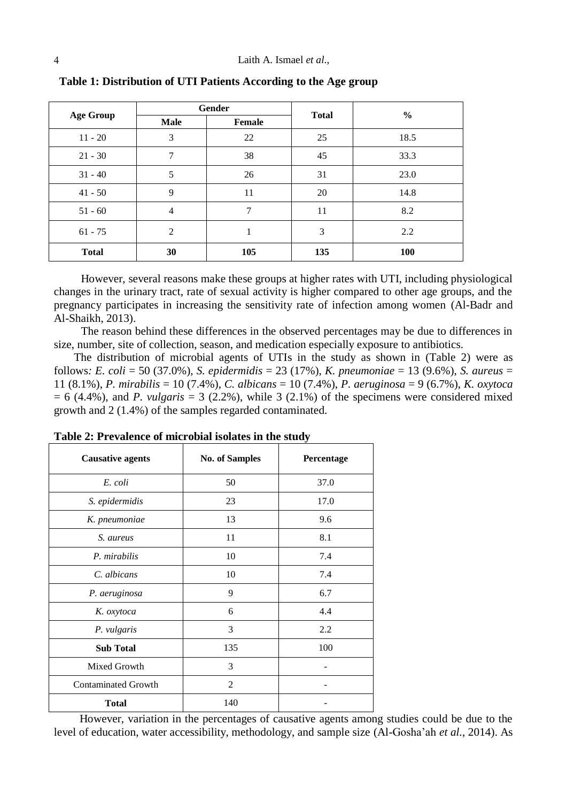| <b>Age Group</b> | Gender         |               | <b>Total</b> | $\frac{0}{0}$ |
|------------------|----------------|---------------|--------------|---------------|
|                  | <b>Male</b>    | <b>Female</b> |              |               |
| $11 - 20$        | 3              | 22            | 25           | 18.5          |
| $21 - 30$        | 7              | 38            | 45           | 33.3          |
| $31 - 40$        | 5              | 26            | 31           | 23.0          |
| $41 - 50$        | 9              | 11            | 20           | 14.8          |
| $51 - 60$        | $\overline{4}$ | 7             | 11           | 8.2           |
| $61 - 75$        | 2              |               | 3            | 2.2           |
| <b>Total</b>     | 30             | 105           | 135          | 100           |

**Table 1: Distribution of UTI Patients According to the Age group**

However, several reasons make these groups at higher rates with UTI, including physiological changes in the urinary tract, rate of sexual activity is higher compared to other age groups, and the pregnancy participates in increasing the sensitivity rate of infection among women (Al-Badr and Al-Shaikh, 2013).

The reason behind these differences in the observed percentages may be due to differences in size, number, site of collection, season, and medication especially exposure to antibiotics.

 The distribution of microbial agents of UTIs in the study as shown in (Table 2) were as follows*: E. coli* = 50 (37.0%), *S. epidermidis* = 23 (17%), *K. pneumoniae* = 13 (9.6%), *S. aureus* = 11 (8.1%), *P. mirabilis* = 10 (7.4%), *C. albicans* = 10 (7.4%), *P. aeruginosa* = 9 (6.7%), *K. oxytoca*   $= 6$  (4.4%), and *P. vulgaris*  $= 3$  (2.2%), while 3 (2.1%) of the specimens were considered mixed growth and 2 (1.4%) of the samples regarded contaminated.

| <b>Causative agents</b>    | <b>No. of Samples</b> | Percentage |
|----------------------------|-----------------------|------------|
| E. coli                    | 50                    | 37.0       |
| S. epidermidis             | 23                    | 17.0       |
| K. pneumoniae              | 13                    | 9.6        |
| S. aureus                  | 11                    | 8.1        |
| P. mirabilis               | 10                    | 7.4        |
| C. albicans                | 10                    | 7.4        |
| P. aeruginosa              | 9                     | 6.7        |
| K. oxytoca                 | 6                     | 4.4        |
| P. vulgaris                | 3                     | 2.2        |
| <b>Sub Total</b>           | 135                   | 100        |
| Mixed Growth               | 3                     |            |
| <b>Contaminated Growth</b> | $\overline{2}$        |            |
| <b>Total</b>               | 140                   |            |

**Table 2: Prevalence of microbial isolates in the study**

 However, variation in the percentages of causative agents among studies could be due to the level of education, water accessibility, methodology, and sample size (Al-Gosha'ah *et al.*, 2014). As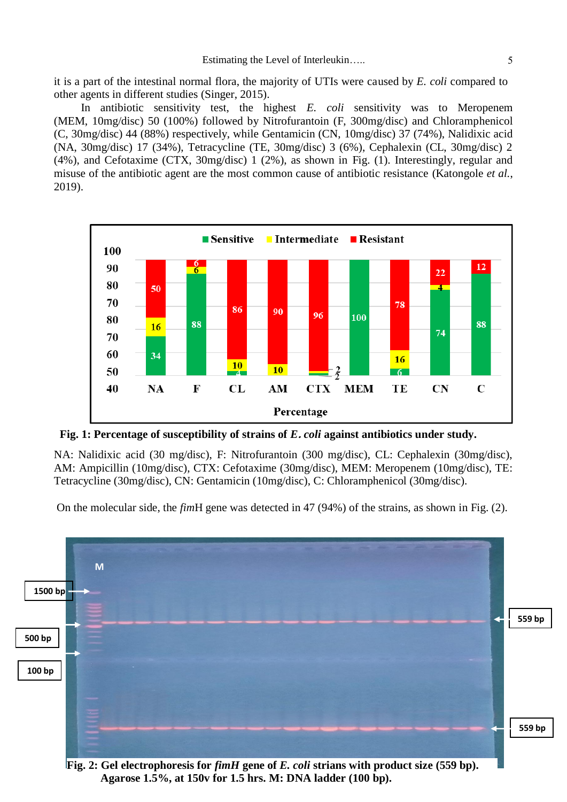it is a part of the intestinal normal flora, the majority of UTIs were caused by *E. coli* compared to other agents in different studies (Singer, 2015).

In antibiotic sensitivity test, the highest *E. coli* sensitivity was to Meropenem (MEM, 10mg/disc) 50 (100%) followed by Nitrofurantoin (F, 300mg/disc) and Chloramphenicol (C, 30mg/disc) 44 (88%) respectively, while Gentamicin (CN, 10mg/disc) 37 (74%), Nalidixic acid (NA, 30mg/disc) 17 (34%), Tetracycline (TE, 30mg/disc) 3 (6%), Cephalexin (CL, 30mg/disc) 2 (4%), and Cefotaxime (CTX, 30mg/disc) 1 (2%), as shown in Fig. (1). Interestingly, regular and misuse of the antibiotic agent are the most common cause of antibiotic resistance (Katongole *et al.*, 2019).



**Fig. 1: Percentage of susceptibility of strains of** *E***.** *coli* **against antibiotics under study.**

NA: Nalidixic acid (30 mg/disc), F: Nitrofurantoin (300 mg/disc), CL: Cephalexin (30mg/disc), AM: Ampicillin (10mg/disc), CTX: Cefotaxime (30mg/disc), MEM: Meropenem (10mg/disc), TE: Tetracycline (30mg/disc), CN: Gentamicin (10mg/disc), C: Chloramphenicol (30mg/disc).

On the molecular side, the *fim*H gene was detected in 47 (94%) of the strains, as shown in Fig. (2).



**Agarose 1.5%, at 150v for 1.5 hrs. M: DNA ladder (100 bp).**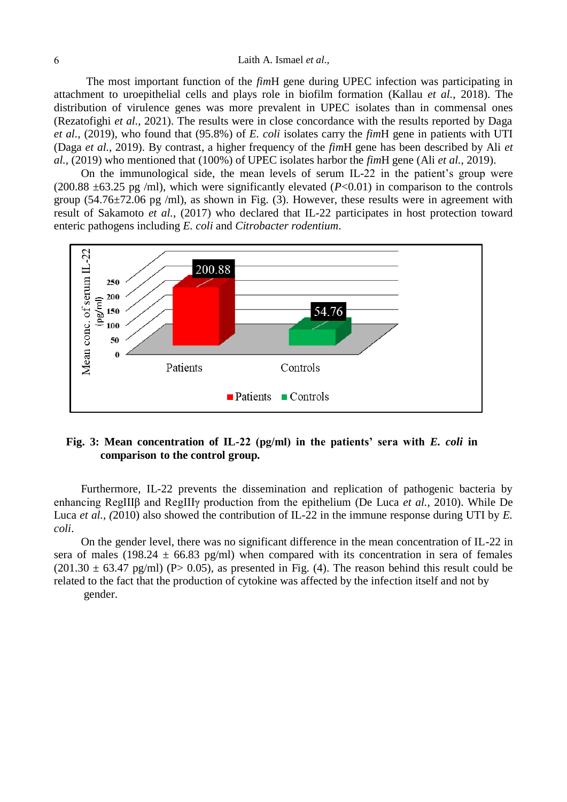## 6 Laith A. Ismael *et al*.,

The most important function of the *fim*H gene during UPEC infection was participating in attachment to uroepithelial cells and plays role in biofilm formation (Kallau *et al.*, 2018). The distribution of virulence genes was more prevalent in UPEC isolates than in commensal ones (Rezatofighi *et al.*, 2021). The results were in close concordance with the results reported by Daga *et al.,* (2019), who found that (95.8%) of *E. coli* isolates carry the *fim*H gene in patients with UTI (Daga *et al.*, 2019). By contrast, a higher frequency of the *fim*H gene has been described by Ali *et al.,* (2019) who mentioned that (100%) of UPEC isolates harbor the *fim*H gene (Ali *et al.*, 2019).

On the immunological side, the mean levels of serum IL-22 in the patient's group were (200.88  $\pm$ 63.25 pg /ml), which were significantly elevated (*P*<0.01) in comparison to the controls group  $(54.76 \pm 72.06$  pg /ml), as shown in Fig. (3). However, these results were in agreement with result of Sakamoto *et al.*, (2017) who declared that IL-22 participates in host protection toward enteric pathogens including *E. coli* and *Citrobacter rodentium*.



## **Fig. 3: Mean concentration of IL-22 (pg/ml) in the patients' sera with** *E. coli* **in comparison to the control group.**

Furthermore, IL-22 prevents the dissemination and replication of pathogenic bacteria by enhancing RegIIIβ and RegIIIγ production from the epithelium (De Luca *et al.*, 2010). While De Luca *et al., (2010)* also showed the contribution of IL-22 in the immune response during UTI by *E*. *coli*.

On the gender level, there was no significant difference in the mean concentration of IL-22 in sera of males (198.24  $\pm$  66.83 pg/ml) when compared with its concentration in sera of females  $(201.30 \pm 63.47 \text{ pg/ml})$  (P $> 0.05$ ), as presented in Fig. (4). The reason behind this result could be related to the fact that the production of cytokine was affected by the infection itself and not by gender.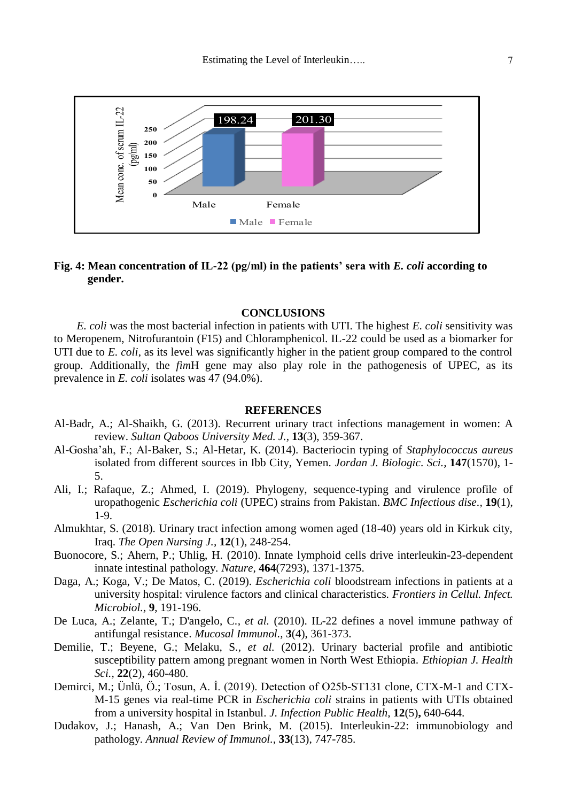

## **Fig. 4: Mean concentration of IL-22 (pg/ml) in the patients' sera with** *E. coli* **according to gender.**

### **CONCLUSIONS**

 *E. coli* was the most bacterial infection in patients with UTI. The highest *E. coli* sensitivity was to Meropenem, Nitrofurantoin (F15) and Chloramphenicol. IL-22 could be used as a biomarker for UTI due to *E. coli*, as its level was significantly higher in the patient group compared to the control group. Additionally, the *fim*H gene may also play role in the pathogenesis of UPEC, as its prevalence in *E. coli* isolates was 47 (94.0%).

#### **REFERENCES**

- Al-Badr, A.; Al-Shaikh, G. (2013). Recurrent urinary tract infections management in women: A review. *Sultan Qaboos University Med. J.,* **13**(3), 359-367.
- Al-Gosha'ah, F.; Al-Baker, S.; Al-Hetar, K. (2014). Bacteriocin typing of *Staphylococcus aureus* isolated from different sources in Ibb City, Yemen. *Jordan J. Biologic. Sci.,* **147**(1570), 1- 5.
- Ali, I.; Rafaque, Z.; Ahmed, I. (2019). Phylogeny, sequence-typing and virulence profile of uropathogenic *Escherichia coli* (UPEC) strains from Pakistan. *BMC Infectious dise.,* **19**(1), 1-9.
- Almukhtar, S. (2018). Urinary tract infection among women aged (18-40) years old in Kirkuk city, Iraq. *The Open Nursing J.,* **12**(1), 248-254.
- Buonocore, S.; Ahern, P.; Uhlig, H. (2010). Innate lymphoid cells drive interleukin-23-dependent innate intestinal pathology. *Nature,* **464**(7293), 1371-1375.
- Daga, A.; Koga, V.; De Matos, C. (2019). *Escherichia coli* bloodstream infections in patients at a university hospital: virulence factors and clinical characteristics. *Frontiers in Cellul. Infect. Microbiol.,* **9**, 191-196.
- De Luca, A.; Zelante, T.; D'angelo, C.*, et al.* (2010). IL-22 defines a novel immune pathway of antifungal resistance. *Mucosal Immunol.,* **3**(4), 361-373.
- Demilie, T.; Beyene, G.; Melaku, S.*, et al.* (2012). Urinary bacterial profile and antibiotic susceptibility pattern among pregnant women in North West Ethiopia. *Ethiopian J. Health Sci.,* **22**(2), 460-480.
- Demirci, M.; Ünlü, Ö.; Tosun, A. İ. (2019). Detection of O25b-ST131 clone, CTX-M-1 and CTX-M-15 genes via real-time PCR in *Escherichia coli* strains in patients with UTIs obtained from a university hospital in Istanbul. *J. Infection Public Health,* **12**(5)**,** 640-644.
- Dudakov, J.; Hanash, A.; Van Den Brink, M. (2015). Interleukin-22: immunobiology and pathology. *Annual Review of Immunol.,* **33**(13), 747-785.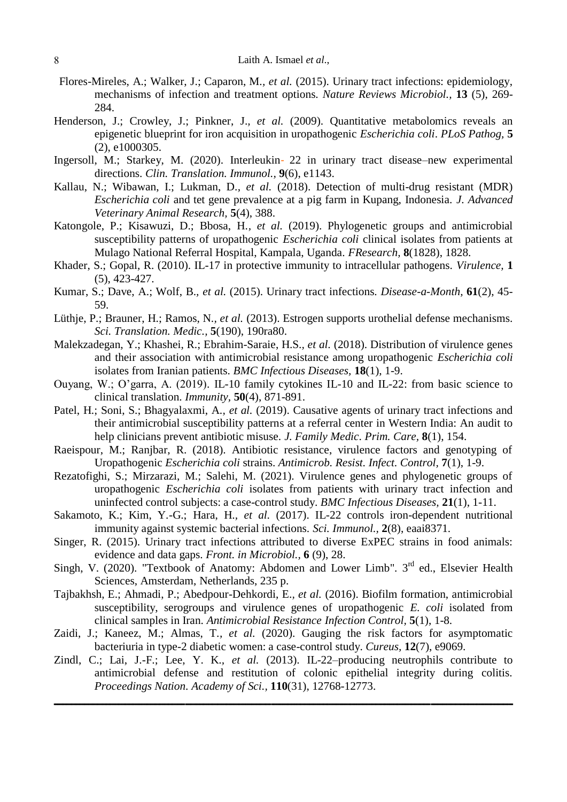- Flores-Mireles, A.; Walker, J.; Caparon, M.*, et al.* (2015). Urinary tract infections: epidemiology, mechanisms of infection and treatment options. *Nature Reviews Microbiol.,* **13** (5), 269- 284.
- Henderson, J.; Crowley, J.; Pinkner, J.*, et al.* (2009). Quantitative metabolomics reveals an epigenetic blueprint for iron acquisition in uropathogenic *Escherichia coli*. *PLoS Pathog,* **5**  (2), e1000305.
- Ingersoll, M.; Starkey, M. (2020). Interleukin‐ 22 in urinary tract disease–new experimental directions. *Clin. Translation. Immunol.,* **9**(6), e1143.
- Kallau, N.; Wibawan, I.; Lukman, D.*, et al.* (2018). Detection of multi-drug resistant (MDR) *Escherichia coli* and tet gene prevalence at a pig farm in Kupang, Indonesia. *J. Advanced Veterinary Animal Research,* **5**(4), 388.
- Katongole, P.; Kisawuzi, D.; Bbosa, H.*, et al.* (2019). Phylogenetic groups and antimicrobial susceptibility patterns of uropathogenic *Escherichia coli* clinical isolates from patients at Mulago National Referral Hospital, Kampala, Uganda. *FResearch,* **8**(1828), 1828.
- Khader, S.; Gopal, R. (2010). IL-17 in protective immunity to intracellular pathogens. *Virulence,* **1**  (5), 423-427.
- Kumar, S.; Dave, A.; Wolf, B.*, et al.* (2015). Urinary tract infections. *Disease-a-Month,* **61**(2), 45- 59.
- Lüthje, P.; Brauner, H.; Ramos, N.*, et al.* (2013). Estrogen supports urothelial defense mechanisms. *Sci. Translation. Medic.,* **5**(190), 190ra80.
- Malekzadegan, Y.; Khashei, R.; Ebrahim-Saraie, H.S.*, et al.* (2018). Distribution of virulence genes and their association with antimicrobial resistance among uropathogenic *Escherichia coli* isolates from Iranian patients. *BMC Infectious Diseases,* **18**(1), 1-9.
- Ouyang, W.; O'garra, A. (2019). IL-10 family cytokines IL-10 and IL-22: from basic science to clinical translation. *Immunity,* **50**(4), 871-891.
- Patel, H.; Soni, S.; Bhagyalaxmi, A.*, et al.* (2019). Causative agents of urinary tract infections and their antimicrobial susceptibility patterns at a referral center in Western India: An audit to help clinicians prevent antibiotic misuse. *J. Family Medic. Prim. Care,* **8**(1), 154.
- Raeispour, M.; Ranjbar, R. (2018). Antibiotic resistance, virulence factors and genotyping of Uropathogenic *Escherichia coli* strains. *Antimicrob. Resist. Infect. Control,* **7**(1), 1-9.
- Rezatofighi, S.; Mirzarazi, M.; Salehi, M. (2021). Virulence genes and phylogenetic groups of uropathogenic *Escherichia coli* isolates from patients with urinary tract infection and uninfected control subjects: a case-control study. *BMC Infectious Diseases,* **21**(1), 1-11.
- Sakamoto, K.; Kim, Y.-G.; Hara, H.*, et al.* (2017). IL-22 controls iron-dependent nutritional immunity against systemic bacterial infections. *Sci. Immunol.,* **2**(8), eaai8371.
- Singer, R. (2015). Urinary tract infections attributed to diverse ExPEC strains in food animals: evidence and data gaps. *Front. in Microbiol.,* **6** (9), 28.
- Singh, V. (2020). "Textbook of Anatomy: Abdomen and Lower Limb". 3<sup>rd</sup> ed., Elsevier Health Sciences, Amsterdam, Netherlands, 235 p.
- Tajbakhsh, E.; Ahmadi, P.; Abedpour-Dehkordi, E.*, et al.* (2016). Biofilm formation, antimicrobial susceptibility, serogroups and virulence genes of uropathogenic *E. coli* isolated from clinical samples in Iran. *Antimicrobial Resistance Infection Control,* **5**(1), 1-8.
- Zaidi, J.; Kaneez, M.; Almas, T.*, et al.* (2020). Gauging the risk factors for asymptomatic bacteriuria in type-2 diabetic women: a case-control study. *Cureus,* **12**(7), e9069.
- Zindl, C.; Lai, J.-F.; Lee, Y. K.*, et al.* (2013). IL-22–producing neutrophils contribute to antimicrobial defense and restitution of colonic epithelial integrity during colitis. *Proceedings Nation. Academy of Sci.,* **110**(31), 12768-12773.

**ــــــــــــــــــــــــــــــــــــــــــــــــــــــــــــــــ ـــــــــــــــــــــــــــــــــــــــــــــــــــــــــــــــــــــــــــــــــــــــــــــــــــــــــــــــــــــــــــــــــــــــــــــــــــــــــــــــــــــــــــــــــــــــــــــــــــــــــــــــــــــــــــــــــــــــــــــــــــــــــــــــــــــــــــــــــــــــــــــــــــــــ**